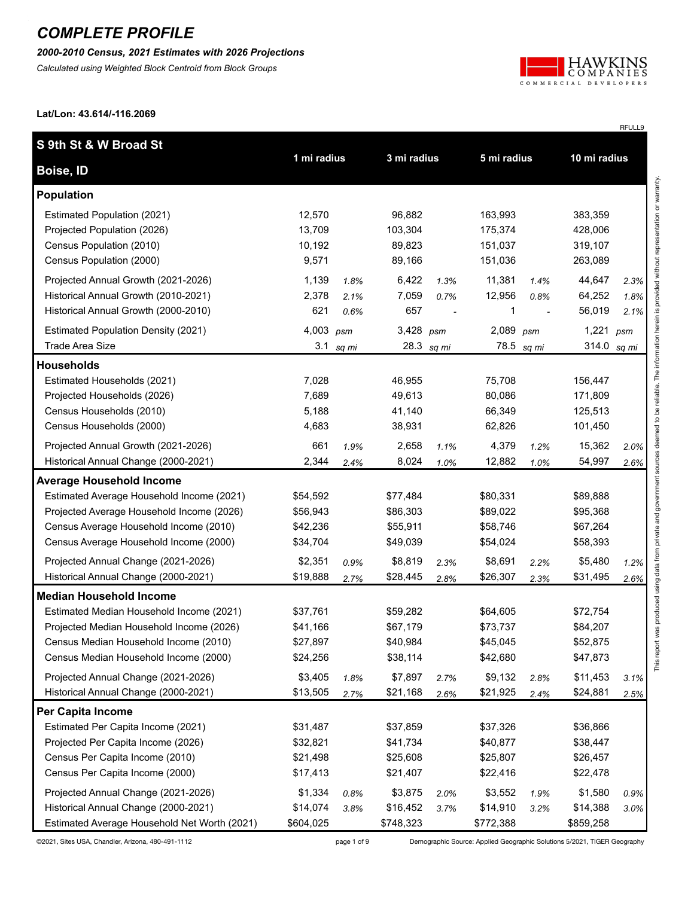*2000-2010 Census, 2021 Estimates with 2026 Projections*

*Calculated using Weighted Block Centroid from Block Groups*



RFULL9

**Lat/Lon: 43.614/-116.2069**

| S 9th St & W Broad St                        |             |       |             |              |             |            |               |                                                  |
|----------------------------------------------|-------------|-------|-------------|--------------|-------------|------------|---------------|--------------------------------------------------|
| Boise, ID                                    | 1 mi radius |       | 3 mi radius |              | 5 mi radius |            | 10 mi radius  |                                                  |
| <b>Population</b>                            |             |       |             |              |             |            |               | provided without representation or warranty.     |
| Estimated Population (2021)                  | 12,570      |       | 96,882      |              | 163,993     |            | 383,359       |                                                  |
| Projected Population (2026)                  | 13,709      |       | 103,304     |              | 175,374     |            | 428,006       |                                                  |
| Census Population (2010)                     | 10,192      |       | 89,823      |              | 151,037     |            | 319,107       |                                                  |
| Census Population (2000)                     | 9,571       |       | 89,166      |              | 151,036     |            | 263,089       |                                                  |
| Projected Annual Growth (2021-2026)          | 1,139       | 1.8%  | 6,422       | 1.3%         | 11,381      | 1.4%       | 44,647        | 2.3%                                             |
| Historical Annual Growth (2010-2021)         | 2,378       | 2.1%  | 7,059       | 0.7%         | 12,956      | 0.8%       | 64,252        | 1.8%                                             |
| Historical Annual Growth (2000-2010)         | 621         | 0.6%  | 657         |              | 1           |            | 56,019        | 2.1%                                             |
| <b>Estimated Population Density (2021)</b>   | 4,003 psm   |       | $3,428$ psm |              | 2,089       | psm        | 1,221 $psm$   |                                                  |
| <b>Trade Area Size</b>                       | 3.1         | sq mi |             | 28.3 $sq$ mi |             | 78.5 sq mi | 314.0 $sq$ mi |                                                  |
| <b>Households</b>                            |             |       |             |              |             |            |               | deemed to be reliable. The information herein is |
| Estimated Households (2021)                  | 7,028       |       | 46,955      |              | 75,708      |            | 156,447       |                                                  |
| Projected Households (2026)                  | 7,689       |       | 49,613      |              | 80,086      |            | 171,809       |                                                  |
| Census Households (2010)                     | 5,188       |       | 41,140      |              | 66,349      |            | 125,513       |                                                  |
| Census Households (2000)                     | 4,683       |       | 38,931      |              | 62,826      |            | 101,450       |                                                  |
| Projected Annual Growth (2021-2026)          | 661         | 1.9%  | 2,658       | 1.1%         | 4,379       | 1.2%       | 15,362        | 2.0%                                             |
| Historical Annual Change (2000-2021)         | 2,344       | 2.4%  | 8,024       | 1.0%         | 12,882      | 1.0%       | 54,997        | 2.6%                                             |
| <b>Average Household Income</b>              |             |       |             |              |             |            |               |                                                  |
| Estimated Average Household Income (2021)    | \$54,592    |       | \$77,484    |              | \$80,331    |            | \$89,888      |                                                  |
| Projected Average Household Income (2026)    | \$56,943    |       | \$86,303    |              | \$89,022    |            | \$95,368      |                                                  |
| Census Average Household Income (2010)       | \$42,236    |       | \$55,911    |              | \$58,746    |            | \$67,264      | private and government                           |
| Census Average Household Income (2000)       | \$34,704    |       | \$49,039    |              | \$54,024    |            | \$58,393      |                                                  |
| Projected Annual Change (2021-2026)          | \$2,351     | 0.9%  | \$8,819     | 2.3%         | \$8,691     | 2.2%       | \$5,480       | 1.2%                                             |
| Historical Annual Change (2000-2021)         | \$19,888    | 2.7%  | \$28,445    | 2.8%         | \$26,307    | 2.3%       | \$31,495      | using data from<br>2.6%                          |
| <b>Median Household Income</b>               |             |       |             |              |             |            |               |                                                  |
| Estimated Median Household Income (2021)     | \$37,761    |       | \$59,282    |              | \$64,605    |            | \$72,754      | ort was produced                                 |
| Projected Median Household Income (2026)     | \$41,166    |       | \$67,179    |              | \$73,737    |            | \$84,207      |                                                  |
| Census Median Household Income (2010)        | \$27,897    |       | \$40,984    |              | \$45,045    |            | \$52,875      |                                                  |
| Census Median Household Income (2000)        | \$24,256    |       | \$38,114    |              | \$42,680    |            | \$47,873      | This rep                                         |
| Projected Annual Change (2021-2026)          | \$3,405     | 1.8%  | \$7,897     | 2.7%         | \$9,132     | 2.8%       | \$11,453      | 3.1%                                             |
| Historical Annual Change (2000-2021)         | \$13,505    | 2.7%  | \$21,168    | 2.6%         | \$21,925    | 2.4%       | \$24,881      | 2.5%                                             |
| Per Capita Income                            |             |       |             |              |             |            |               |                                                  |
| Estimated Per Capita Income (2021)           | \$31,487    |       | \$37,859    |              | \$37,326    |            | \$36,866      |                                                  |
| Projected Per Capita Income (2026)           | \$32,821    |       | \$41,734    |              | \$40,877    |            | \$38,447      |                                                  |
| Census Per Capita Income (2010)              | \$21,498    |       | \$25,608    |              | \$25,807    |            | \$26,457      |                                                  |
| Census Per Capita Income (2000)              | \$17,413    |       | \$21,407    |              | \$22,416    |            | \$22,478      |                                                  |
| Projected Annual Change (2021-2026)          | \$1,334     | 0.8%  | \$3,875     | 2.0%         | \$3,552     | 1.9%       | \$1,580       | 0.9%                                             |
| Historical Annual Change (2000-2021)         | \$14,074    | 3.8%  | \$16,452    | 3.7%         | \$14,910    | 3.2%       | \$14,388      | 3.0%                                             |
| Estimated Average Household Net Worth (2021) | \$604,025   |       | \$748,323   |              | \$772,388   |            | \$859,258     |                                                  |

©2021, Sites USA, Chandler, Arizona, 480-491-1112 page 1 of 9 Demographic Source: Applied Geographic Solutions 5/2021, TIGER Geography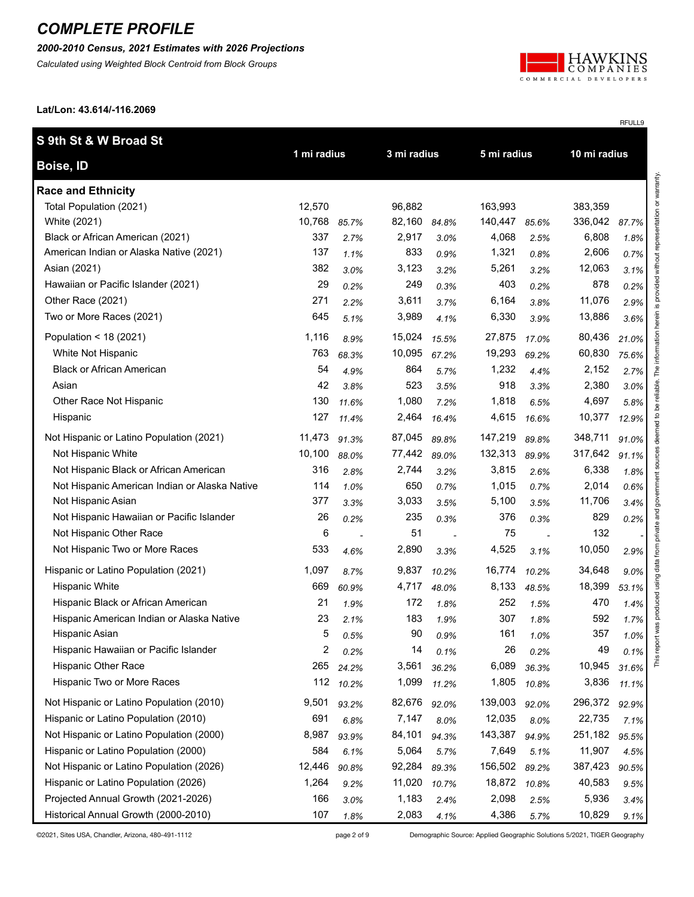#### *2000-2010 Census, 2021 Estimates with 2026 Projections*

*Calculated using Weighted Block Centroid from Block Groups*



RFULL9

**Lat/Lon: 43.614/-116.2069**

| S 9th St & W Broad St                         |             |       |             |       |             |       |              |       |
|-----------------------------------------------|-------------|-------|-------------|-------|-------------|-------|--------------|-------|
| Boise, ID                                     | 1 mi radius |       | 3 mi radius |       | 5 mi radius |       | 10 mi radius |       |
| <b>Race and Ethnicity</b>                     |             |       |             |       |             |       |              |       |
| Total Population (2021)                       | 12,570      |       | 96,882      |       | 163.993     |       | 383,359      |       |
| White (2021)                                  | 10,768      | 85.7% | 82,160      | 84.8% | 140,447     | 85.6% | 336,042      | 87.7% |
| Black or African American (2021)              | 337         | 2.7%  | 2,917       | 3.0%  | 4,068       | 2.5%  | 6,808        | 1.8%  |
| American Indian or Alaska Native (2021)       | 137         | 1.1%  | 833         | 0.9%  | 1,321       | 0.8%  | 2,606        | 0.7%  |
| Asian (2021)                                  | 382         | 3.0%  | 3,123       | 3.2%  | 5,261       | 3.2%  | 12,063       | 3.1%  |
| Hawaiian or Pacific Islander (2021)           | 29          | 0.2%  | 249         | 0.3%  | 403         | 0.2%  | 878          | 0.2%  |
| Other Race (2021)                             | 271         | 2.2%  | 3,611       | 3.7%  | 6,164       | 3.8%  | 11,076       | 2.9%  |
| Two or More Races (2021)                      | 645         | 5.1%  | 3,989       | 4.1%  | 6,330       | 3.9%  | 13,886       | 3.6%  |
| Population < 18 (2021)                        | 1,116       | 8.9%  | 15,024      | 15.5% | 27,875      | 17.0% | 80,436       | 21.0% |
| White Not Hispanic                            | 763         | 68.3% | 10,095      | 67.2% | 19,293      | 69.2% | 60,830       | 75.6% |
| <b>Black or African American</b>              | 54          | 4.9%  | 864         | 5.7%  | 1,232       | 4.4%  | 2,152        | 2.7%  |
| Asian                                         | 42          | 3.8%  | 523         | 3.5%  | 918         | 3.3%  | 2,380        | 3.0%  |
| Other Race Not Hispanic                       | 130         | 11.6% | 1,080       | 7.2%  | 1,818       | 6.5%  | 4,697        | 5.8%  |
| Hispanic                                      | 127         | 11.4% | 2,464       | 16.4% | 4,615       | 16.6% | 10,377       | 12.9% |
| Not Hispanic or Latino Population (2021)      | 11,473      | 91.3% | 87,045      | 89.8% | 147,219     | 89.8% | 348,711      | 91.0% |
| Not Hispanic White                            | 10,100      | 88.0% | 77,442      | 89.0% | 132,313     | 89.9% | 317,642      | 91.1% |
| Not Hispanic Black or African American        | 316         | 2.8%  | 2,744       | 3.2%  | 3,815       | 2.6%  | 6,338        | 1.8%  |
| Not Hispanic American Indian or Alaska Native | 114         | 1.0%  | 650         | 0.7%  | 1,015       | 0.7%  | 2,014        | 0.6%  |
| Not Hispanic Asian                            | 377         | 3.3%  | 3,033       | 3.5%  | 5,100       | 3.5%  | 11,706       | 3.4%  |
| Not Hispanic Hawaiian or Pacific Islander     | 26          | 0.2%  | 235         | 0.3%  | 376         | 0.3%  | 829          | 0.2%  |
| Not Hispanic Other Race                       | 6           |       | 51          |       | 75          |       | 132          |       |
| Not Hispanic Two or More Races                | 533         | 4.6%  | 2,890       | 3.3%  | 4,525       | 3.1%  | 10,050       | 2.9%  |
| Hispanic or Latino Population (2021)          | 1,097       | 8.7%  | 9,837       | 10.2% | 16,774      | 10.2% | 34,648       | 9.0%  |
| <b>Hispanic White</b>                         | 669         | 60.9% | 4,717       | 48.0% | 8,133       | 48.5% | 18,399       | 53.1% |
| Hispanic Black or African American            | 21          | 1.9%  | 172         | 1.8%  | 252         | 1.5%  | 470          | 1.4%  |
| Hispanic American Indian or Alaska Native     | 23          | 2.1%  | 183         | 1.9%  | 307         | 1.8%  | 592          | 1.7%  |
| Hispanic Asian                                | 5           | 0.5%  | 90          | 0.9%  | 161         | 1.0%  | 357          | 1.0%  |
| Hispanic Hawaiian or Pacific Islander         | 2           | 0.2%  | 14          | 0.1%  | 26          | 0.2%  | 49           | 0.1%  |
| <b>Hispanic Other Race</b>                    | 265         | 24.2% | 3,561       | 36.2% | 6,089       | 36.3% | 10,945       | 31.6% |
| Hispanic Two or More Races                    | 112         | 10.2% | 1,099       | 11.2% | 1,805       | 10.8% | 3,836        | 11.1% |
| Not Hispanic or Latino Population (2010)      | 9,501       | 93.2% | 82,676      | 92.0% | 139,003     | 92.0% | 296,372      | 92.9% |
| Hispanic or Latino Population (2010)          | 691         | 6.8%  | 7,147       | 8.0%  | 12,035      | 8.0%  | 22,735       | 7.1%  |
| Not Hispanic or Latino Population (2000)      | 8,987       | 93.9% | 84,101      | 94.3% | 143,387     | 94.9% | 251,182      | 95.5% |
| Hispanic or Latino Population (2000)          | 584         | 6.1%  | 5,064       | 5.7%  | 7,649       | 5.1%  | 11,907       | 4.5%  |
| Not Hispanic or Latino Population (2026)      | 12,446      | 90.8% | 92,284      | 89.3% | 156,502     | 89.2% | 387,423      | 90.5% |
| Hispanic or Latino Population (2026)          | 1,264       | 9.2%  | 11,020      | 10.7% | 18,872      | 10.8% | 40,583       | 9.5%  |
| Projected Annual Growth (2021-2026)           | 166         | 3.0%  | 1,183       | 2.4%  | 2,098       | 2.5%  | 5,936        | 3.4%  |
| Historical Annual Growth (2000-2010)          | 107         | 1.8%  | 2,083       | 4.1%  | 4,386       | 5.7%  | 10,829       | 9.1%  |

©2021, Sites USA, Chandler, Arizona, 480-491-1112 page 2 of 9 Demographic Source: Applied Geographic Solutions 5/2021, TIGER Geography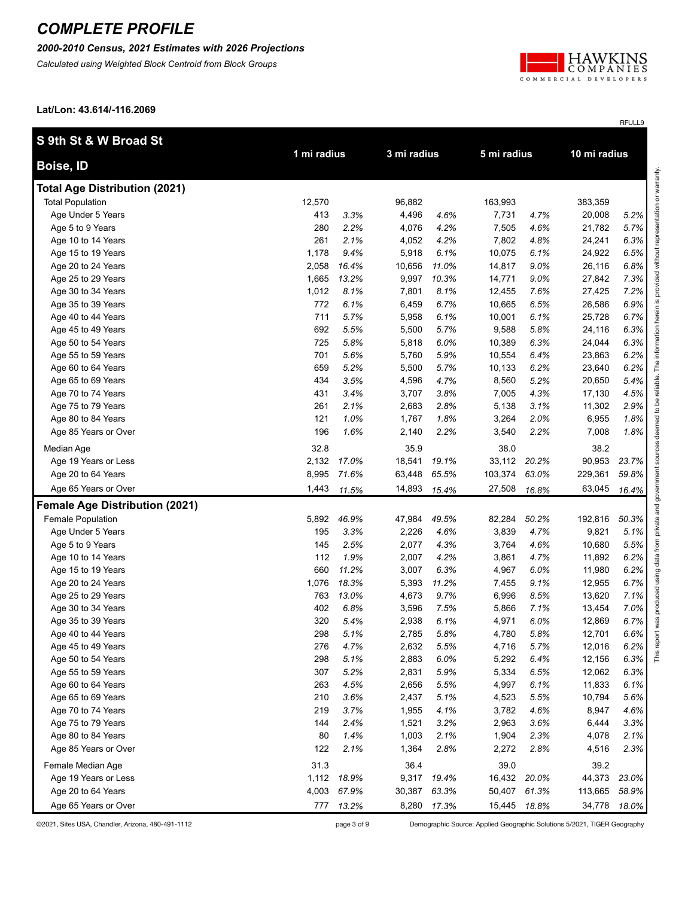*2000-2010 Census, 2021 Estimates with 2026 Projections*

*Calculated using Weighted Block Centroid from Block Groups*



RFULL9

**Lat/Lon: 43.614/-116.2069**

| S 9th St & W Broad St                 |             |       |             |       |             |       |              |       |                        |
|---------------------------------------|-------------|-------|-------------|-------|-------------|-------|--------------|-------|------------------------|
| Boise, ID                             | 1 mi radius |       | 3 mi radius |       | 5 mi radius |       | 10 mi radius |       |                        |
| <b>Total Age Distribution (2021)</b>  |             |       |             |       |             |       |              |       | sentation or warranty. |
| <b>Total Population</b>               | 12,570      |       | 96,882      |       | 163,993     |       | 383,359      |       |                        |
| Age Under 5 Years                     | 413         | 3.3%  | 4,496       | 4.6%  | 7,731       | 4.7%  | 20,008       | 5.2%  |                        |
| Age 5 to 9 Years                      | 280         | 2.2%  | 4,076       | 4.2%  | 7,505       | 4.6%  | 21,782       | 5.7%  |                        |
| Age 10 to 14 Years                    | 261         | 2.1%  | 4,052       | 4.2%  | 7,802       | 4.8%  | 24,241       | 6.3%  |                        |
| Age 15 to 19 Years                    | 1,178       | 9.4%  | 5,918       | 6.1%  | 10,075      | 6.1%  | 24,922       | 6.5%  |                        |
| Age 20 to 24 Years                    | 2,058       | 16.4% | 10,656      | 11.0% | 14,817      | 9.0%  | 26,116       | 6.8%  |                        |
| Age 25 to 29 Years                    | 1,665       | 13.2% | 9,997       | 10.3% | 14,771      | 9.0%  | 27,842       | 7.3%  |                        |
| Age 30 to 34 Years                    | 1,012       | 8.1%  | 7,801       | 8.1%  | 12,455      | 7.6%  | 27,425       | 7.2%  |                        |
| Age 35 to 39 Years                    | 772         | 6.1%  | 6,459       | 6.7%  | 10,665      | 6.5%  | 26,586       | 6.9%  |                        |
| Age 40 to 44 Years                    | 711         | 5.7%  | 5,958       | 6.1%  | 10,001      | 6.1%  | 25,728       | 6.7%  |                        |
| Age 45 to 49 Years                    | 692         | 5.5%  | 5,500       | 5.7%  | 9,588       | 5.8%  | 24,116       | 6.3%  |                        |
| Age 50 to 54 Years                    | 725         | 5.8%  | 5,818       | 6.0%  | 10,389      | 6.3%  | 24,044       | 6.3%  |                        |
| Age 55 to 59 Years                    | 701         | 5.6%  | 5,760       | 5.9%  | 10,554      | 6.4%  | 23,863       | 6.2%  |                        |
| Age 60 to 64 Years                    | 659         | 5.2%  | 5,500       | 5.7%  | 10,133      | 6.2%  | 23,640       | 6.2%  |                        |
| Age 65 to 69 Years                    | 434         | 3.5%  | 4,596       | 4.7%  | 8,560       | 5.2%  | 20,650       | 5.4%  |                        |
| Age 70 to 74 Years                    | 431         | 3.4%  | 3,707       | 3.8%  | 7,005       | 4.3%  | 17,130       | 4.5%  |                        |
| Age 75 to 79 Years                    | 261         | 2.1%  | 2,683       | 2.8%  | 5,138       | 3.1%  | 11,302       | 2.9%  |                        |
| Age 80 to 84 Years                    | 121         | 1.0%  | 1,767       | 1.8%  | 3,264       | 2.0%  | 6,955        | 1.8%  |                        |
| Age 85 Years or Over                  | 196         | 1.6%  | 2,140       | 2.2%  | 3,540       | 2.2%  | 7,008        | 1.8%  |                        |
| Median Age                            | 32.8        |       | 35.9        |       | 38.0        |       | 38.2         |       |                        |
| Age 19 Years or Less                  | 2,132       | 17.0% | 18,541      | 19.1% | 33,112      | 20.2% | 90,953       | 23.7% | mos                    |
| Age 20 to 64 Years                    | 8,995       | 71.6% | 63,448      | 65.5% | 103,374     | 63.0% | 229,361      | 59.8% |                        |
| Age 65 Years or Over                  | 1,443       | 11.5% | 14,893      | 15.4% | 27,508      | 16.8% | 63,045       | 16.4% | gover                  |
| <b>Female Age Distribution (2021)</b> |             |       |             |       |             |       |              |       |                        |
| Female Population                     | 5,892       | 46.9% | 47,984      | 49.5% | 82,284      | 50.2% | 192,816      | 50.3% | private and            |
| Age Under 5 Years                     | 195         | 3.3%  | 2,226       | 4.6%  | 3,839       | 4.7%  | 9,821        | 5.1%  |                        |
| Age 5 to 9 Years                      | 145         | 2.5%  | 2,077       | 4.3%  | 3,764       | 4.6%  | 10,680       | 5.5%  |                        |
| Age 10 to 14 Years                    | 112         | 1.9%  | 2,007       | 4.2%  | 3,861       | 4.7%  | 11,892       | 6.2%  |                        |
| Age 15 to 19 Years                    | 660         | 11.2% | 3,007       | 6.3%  | 4,967       | 6.0%  | 11,980       | 6.2%  |                        |
| Age 20 to 24 Years                    | 1,076       | 18.3% | 5,393       | 11.2% | 7,455       | 9.1%  | 12,955       | 6.7%  |                        |
| Age 25 to 29 Years                    | 763         | 13.0% | 4,673       | 9.7%  | 6,996       | 8.5%  | 13,620       | 7.1%  |                        |
| Age 30 to 34 Years                    | 402         | 6.8%  | 3,596       | 7.5%  | 5,866       | 7.1%  | 13,454       | 7.0%  |                        |
| Age 35 to 39 Years                    | 320         | 5.4%  | 2,938       | 6.1%  | 4,971       | 6.0%  | 12,869       | 6.7%  |                        |
| Age 40 to 44 Years                    | 298         | 5.1%  | 2,785       | 5.8%  | 4,780       | 5.8%  | 12,701       | 6.6%  | ă                      |
| Age 45 to 49 Years                    | 276         | 4.7%  | 2,632       | 5.5%  | 4,716       | 5.7%  | 12,016       | 6.2%  | ĕ                      |
| Age 50 to 54 Years                    | 298         | 5.1%  | 2,883       | 6.0%  | 5,292       | 6.4%  | 12,156       | 6.3%  | This                   |
| Age 55 to 59 Years                    | 307         | 5.2%  | 2,831       | 5.9%  | 5,334       | 6.5%  | 12,062       | 6.3%  |                        |
| Age 60 to 64 Years                    | 263         | 4.5%  | 2,656       | 5.5%  | 4,997       | 6.1%  | 11,833       | 6.1%  |                        |
| Age 65 to 69 Years                    | 210         | 3.6%  | 2,437       | 5.1%  | 4,523       | 5.5%  | 10,794       | 5.6%  |                        |
| Age 70 to 74 Years                    | 219         | 3.7%  | 1,955       | 4.1%  | 3,782       | 4.6%  | 8,947        | 4.6%  |                        |
| Age 75 to 79 Years                    | 144         | 2.4%  | 1,521       | 3.2%  | 2,963       | 3.6%  | 6,444        | 3.3%  |                        |
| Age 80 to 84 Years                    | 80          | 1.4%  | 1,003       | 2.1%  | 1,904       | 2.3%  | 4,078        | 2.1%  |                        |
| Age 85 Years or Over                  | 122         | 2.1%  | 1,364       | 2.8%  | 2,272       | 2.8%  | 4,516        | 2.3%  |                        |
| Female Median Age                     | 31.3        |       | 36.4        |       | 39.0        |       | 39.2         |       |                        |
| Age 19 Years or Less                  | 1,112       | 18.9% | 9,317       | 19.4% | 16,432      | 20.0% | 44,373       | 23.0% |                        |
| Age 20 to 64 Years                    | 4,003       | 67.9% | 30,387      | 63.3% | 50,407      | 61.3% | 113,665      | 58.9% |                        |
| Age 65 Years or Over                  | 777         | 13.2% | 8,280       | 17.3% | 15,445      | 18.8% | 34,778       | 18.0% |                        |

©2021, Sites USA, Chandler, Arizona, 480-491-1112 page 3 of 9 Demographic Source: Applied Geographic Solutions 5/2021, TIGER Geography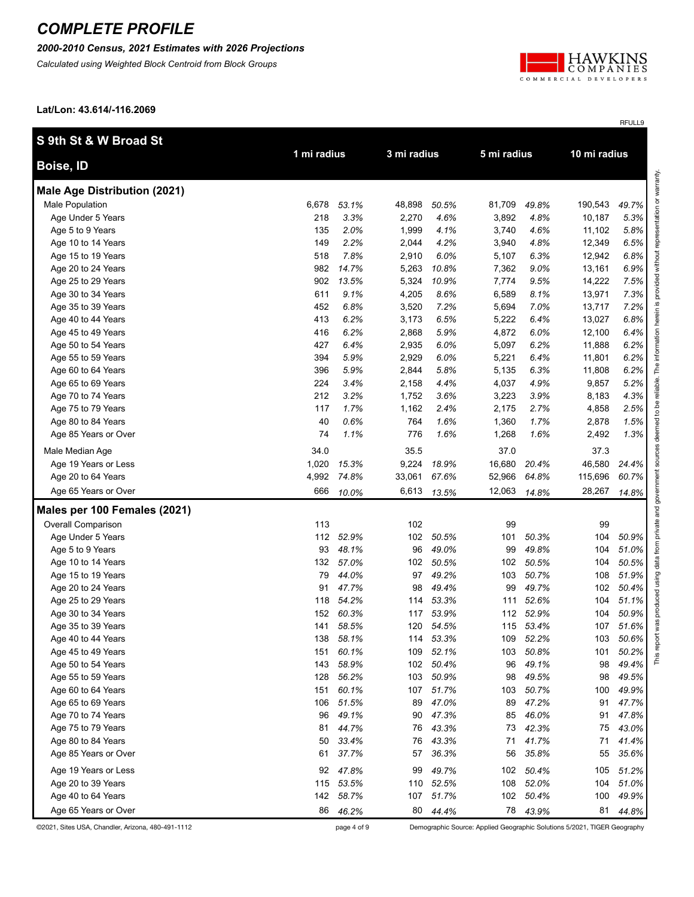*2000-2010 Census, 2021 Estimates with 2026 Projections*

*Calculated using Weighted Block Centroid from Block Groups*



RFULL9

**Lat/Lon: 43.614/-116.2069**

| S 9th St & W Broad St               | 1 mi radius |           | 3 mi radius |           | 5 mi radius |           | 10 mi radius |       |                         |
|-------------------------------------|-------------|-----------|-------------|-----------|-------------|-----------|--------------|-------|-------------------------|
| Boise, ID                           |             |           |             |           |             |           |              |       |                         |
| <b>Male Age Distribution (2021)</b> |             |           |             |           |             |           |              |       | entation or warranty.   |
| Male Population                     | 6,678       | 53.1%     | 48,898      | 50.5%     | 81,709      | 49.8%     | 190,543      | 49.7% |                         |
| Age Under 5 Years                   | 218         | 3.3%      | 2,270       | 4.6%      | 3,892       | 4.8%      | 10,187       | 5.3%  |                         |
| Age 5 to 9 Years                    | 135         | 2.0%      | 1,999       | 4.1%      | 3,740       | 4.6%      | 11,102       | 5.8%  |                         |
| Age 10 to 14 Years                  | 149         | 2.2%      | 2,044       | 4.2%      | 3,940       | 4.8%      | 12,349       | 6.5%  |                         |
| Age 15 to 19 Years                  | 518         | 7.8%      | 2,910       | 6.0%      | 5,107       | 6.3%      | 12,942       | 6.8%  |                         |
| Age 20 to 24 Years                  | 982         | 14.7%     | 5,263       | 10.8%     | 7,362       | 9.0%      | 13,161       | 6.9%  |                         |
| Age 25 to 29 Years                  | 902         | 13.5%     | 5,324       | 10.9%     | 7,774       | 9.5%      | 14,222       | 7.5%  |                         |
| Age 30 to 34 Years                  | 611         | 9.1%      | 4,205       | 8.6%      | 6,589       | 8.1%      | 13,971       | 7.3%  |                         |
| Age 35 to 39 Years                  | 452         | 6.8%      | 3,520       | 7.2%      | 5,694       | 7.0%      | 13,717       | 7.2%  | <u>ی</u>                |
| Age 40 to 44 Years                  | 413         | 6.2%      | 3,173       | 6.5%      | 5,222       | 6.4%      | 13,027       | 6.8%  |                         |
| Age 45 to 49 Years                  | 416         | 6.2%      | 2,868       | 5.9%      | 4,872       | 6.0%      | 12,100       | 6.4%  |                         |
| Age 50 to 54 Years                  | 427         | 6.4%      | 2,935       | 6.0%      | 5,097       | 6.2%      | 11,888       | 6.2%  |                         |
| Age 55 to 59 Years                  | 394         | 5.9%      | 2,929       | 6.0%      | 5,221       | 6.4%      | 11,801       | 6.2%  |                         |
| Age 60 to 64 Years                  | 396         | 5.9%      | 2,844       | 5.8%      | 5,135       | 6.3%      | 11,808       | 6.2%  |                         |
| Age 65 to 69 Years                  | 224         | 3.4%      | 2,158       | 4.4%      | 4,037       | 4.9%      | 9,857        | 5.2%  |                         |
| Age 70 to 74 Years                  | 212         | 3.2%      | 1,752       | 3.6%      | 3,223       | 3.9%      | 8,183        | 4.3%  |                         |
| Age 75 to 79 Years                  | 117         | 1.7%      | 1,162       | 2.4%      | 2,175       | 2.7%      | 4,858        | 2.5%  | $\overline{c}$          |
| Age 80 to 84 Years                  | 40          | 0.6%      | 764         | 1.6%      | 1,360       | 1.7%      | 2,878        | 1.5%  | 8                       |
| Age 85 Years or Over                | 74          | 1.1%      | 776         | 1.6%      | 1,268       | 1.6%      | 2,492        | 1.3%  | dee                     |
| Male Median Age                     | 34.0        |           | 35.5        |           | 37.0        |           | 37.3         |       |                         |
| Age 19 Years or Less                | 1,020       | 15.3%     | 9,224       | 18.9%     | 16,680      | 20.4%     | 46,580       | 24.4% |                         |
| Age 20 to 64 Years                  | 4,992       | 74.8%     | 33,061      | 67.6%     | 52,966      | 64.8%     | 115,696      | 60.7% |                         |
| Age 65 Years or Over                | 666         | 10.0%     | 6,613       | 13.5%     | 12,063      | 14.8%     | 28,267       | 14.8% |                         |
| Males per 100 Females (2021)        |             |           |             |           |             |           |              |       | and                     |
| Overall Comparison                  | 113         |           | 102         |           | 99          |           | 99           |       | private                 |
| Age Under 5 Years                   |             | 112 52.9% | 102         | 50.5%     | 101         | 50.3%     | 104          | 50.9% |                         |
| Age 5 to 9 Years                    | 93          | 48.1%     | 96          | 49.0%     | 99          | 49.8%     | 104          | 51.0% | from                    |
| Age 10 to 14 Years                  | 132         | 57.0%     | 102         | 50.5%     | 102         | 50.5%     | 104          | 50.5% | data                    |
| Age 15 to 19 Years                  | 79          | 44.0%     | 97          | 49.2%     | 103         | 50.7%     | 108          | 51.9% |                         |
| Age 20 to 24 Years                  | 91          | 47.7%     | 98          | 49.4%     | 99          | 49.7%     | 102          | 50.4% |                         |
| Age 25 to 29 Years                  | 118         | 54.2%     | 114         | 53.3%     | 111         | 52.6%     | 104          | 51.1% |                         |
| Age 30 to 34 Years                  | 152         | 60.3%     | 117         | 53.9%     |             | 112 52.9% | 104          | 50.9% |                         |
| Age 35 to 39 Years                  | 141         | 58.5%     | 120         | 54.5%     |             | 115 53.4% | 107          | 51.6% | $\overline{\mathbf{x}}$ |
| Age 40 to 44 Years                  |             | 138 58.1% | 114         | 53.3%     | 109         | 52.2%     | 103          | 50.6% | pa                      |
| Age 45 to 49 Years                  | 151         | 60.1%     | 109         | 52.1%     | 103         | 50.8%     | 101          | 50.2% | This                    |
| Age 50 to 54 Years                  | 143         | 58.9%     | 102         | 50.4%     | 96          | 49.1%     | 98           | 49.4% |                         |
| Age 55 to 59 Years                  | 128         | 56.2%     | 103         | 50.9%     | 98          | 49.5%     | 98           | 49.5% |                         |
| Age 60 to 64 Years                  | 151         | 60.1%     |             | 107 51.7% | 103         | 50.7%     | 100          | 49.9% |                         |
| Age 65 to 69 Years                  | 106         | 51.5%     | 89          | 47.0%     | 89          | 47.2%     | 91           | 47.7% |                         |
| Age 70 to 74 Years                  | 96          | 49.1%     | 90          | 47.3%     | 85          | 46.0%     | 91           | 47.8% |                         |
| Age 75 to 79 Years                  | 81          | 44.7%     | 76          | 43.3%     | 73          | 42.3%     | 75           | 43.0% |                         |
| Age 80 to 84 Years                  | 50          | 33.4%     | 76          | 43.3%     | 71          | 41.7%     | 71           | 41.4% |                         |
| Age 85 Years or Over                | 61          | 37.7%     | 57          | 36.3%     | 56          | 35.8%     | 55           | 35.6% |                         |
| Age 19 Years or Less                | 92          | 47.8%     | 99          | 49.7%     | 102         | 50.4%     | 105          | 51.2% |                         |
| Age 20 to 39 Years                  | 115         | 53.5%     | 110         | 52.5%     | 108         | 52.0%     | 104          | 51.0% |                         |
| Age 40 to 64 Years                  | 142         | 58.7%     |             | 107 51.7% | 102         | 50.4%     | 100          | 49.9% |                         |
| Age 65 Years or Over                | 86          | 46.2%     |             | 80 44.4%  |             | 78 43.9%  | 81           | 44.8% |                         |

©2021, Sites USA, Chandler, Arizona, 480-491-1112 page 4 of 9 Demographic Source: Applied Geographic Solutions 5/2021, TIGER Geography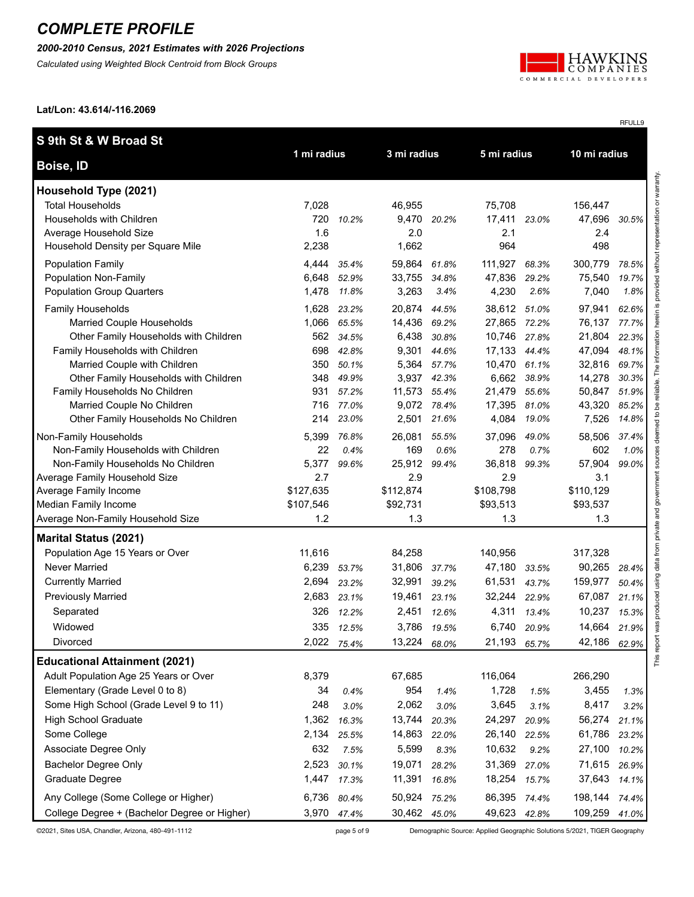#### *2000-2010 Census, 2021 Estimates with 2026 Projections*

*Calculated using Weighted Block Centroid from Block Groups*



RFULL9

**Lat/Lon: 43.614/-116.2069**

| S 9th St & W Broad St                                                 |             |                |                |                |              |             |                  |                |
|-----------------------------------------------------------------------|-------------|----------------|----------------|----------------|--------------|-------------|------------------|----------------|
| Boise, ID                                                             | 1 mi radius |                | 3 mi radius    |                | 5 mi radius  |             | 10 mi radius     |                |
| Household Type (2021)                                                 |             |                |                |                |              |             |                  |                |
| <b>Total Households</b>                                               | 7,028       |                | 46,955         |                | 75,708       |             | 156,447          |                |
| Households with Children                                              | 720         | 10.2%          |                | 9,470 20.2%    | 17,411       | 23.0%       | 47,696           | 30.5%          |
| Average Household Size                                                | 1.6         |                | 2.0            |                | 2.1          |             | 2.4              |                |
| Household Density per Square Mile                                     | 2,238       |                | 1,662          |                | 964          |             | 498              |                |
| <b>Population Family</b>                                              | 4,444       | 35.4%          | 59,864 61.8%   |                | 111,927      | 68.3%       | 300,779          | 78.5%          |
| Population Non-Family                                                 | 6,648       | 52.9%          | 33,755 34.8%   |                | 47,836       | 29.2%       | 75,540           | 19.7%          |
| <b>Population Group Quarters</b>                                      | 1,478       | 11.8%          | 3,263          | 3.4%           | 4,230        | 2.6%        | 7,040            | 1.8%           |
| Family Households                                                     | 1,628       | 23.2%          | 20,874         | 44.5%          | 38,612 51.0% |             | 97,941           | 62.6%          |
| Married Couple Households                                             | 1,066       | 65.5%          | 14,436 69.2%   |                | 27,865 72.2% |             | 76,137           | 77.7%          |
| Other Family Households with Children                                 | 562         | 34.5%          | 6,438          | 30.8%          | 10,746       | 27.8%       | 21,804           | 22.3%          |
| Family Households with Children                                       | 698         | 42.8%          | 9,301          | 44.6%          | 17,133 44.4% |             | 47,094           | 48.1%          |
| Married Couple with Children<br>Other Family Households with Children | 350<br>348  | 50.1%<br>49.9% | 5,364<br>3,937 | 57.7%<br>42.3% | 10,470 61.1% | 6,662 38.9% | 32,816<br>14,278 | 69.7%<br>30.3% |
| Family Households No Children                                         | 931         | 57.2%          | 11,573         | 55.4%          | 21,479       | 55.6%       | 50,847           | 51.9%          |
| Married Couple No Children                                            | 716         | 77.0%          |                | 9,072 78.4%    | 17,395 81.0% |             | 43,320           | 85.2%          |
| Other Family Households No Children                                   | 214         | 23.0%          | 2,501          | 21.6%          | 4,084        | 19.0%       | 7,526            | 14.8%          |
| Non-Family Households                                                 | 5,399       | 76.8%          | 26,081         | 55.5%          | 37,096       | 49.0%       | 58,506           | 37.4%          |
| Non-Family Households with Children                                   | 22          | 0.4%           | 169            | 0.6%           | 278          | 0.7%        | 602              | 1.0%           |
| Non-Family Households No Children                                     | 5,377       | 99.6%          | 25,912         | 99.4%          | 36,818       | 99.3%       | 57,904           | 99.0%          |
| Average Family Household Size                                         | 2.7         |                | 2.9            |                | 2.9          |             | 3.1              |                |
| Average Family Income                                                 | \$127,635   |                | \$112,874      |                | \$108,798    |             | \$110,129        |                |
| Median Family Income                                                  | \$107,546   |                | \$92,731       |                | \$93,513     |             | \$93,537         |                |
| Average Non-Family Household Size                                     | 1.2         |                | 1.3            |                | 1.3          |             | 1.3              |                |
| <b>Marital Status (2021)</b>                                          |             |                |                |                |              |             |                  |                |
| Population Age 15 Years or Over                                       | 11,616      |                | 84,258         |                | 140,956      |             | 317,328          |                |
| <b>Never Married</b>                                                  | 6,239       | 53.7%          | 31,806         | 37.7%          | 47,180       | 33.5%       | 90,265           | 28.4%          |
| <b>Currently Married</b>                                              | 2,694       | 23.2%          | 32,991         | 39.2%          | 61,531       | 43.7%       | 159,977          | 50.4%          |
| <b>Previously Married</b>                                             | 2,683       | 23.1%          | 19,461         | 23.1%          | 32,244       | 22.9%       | 67,087           | 21.1%          |
| Separated                                                             | 326         | 12.2%          | 2,451          | 12.6%          | 4,311        | 13.4%       | 10,237           | 15.3%          |
| Widowed                                                               |             | 335 12.5%      |                | 3,786 19.5%    | 6,740        | 20.9%       | 14,664           | 21.9%          |
| Divorced                                                              | 2,022       | 75.4%          | 13,224         | 68.0%          | 21,193       | 65.7%       | 42,186           | 62.9%          |
| <b>Educational Attainment (2021)</b>                                  |             |                |                |                |              |             |                  |                |
| Adult Population Age 25 Years or Over                                 | 8,379       |                | 67,685         |                | 116,064      |             | 266,290          |                |
| Elementary (Grade Level 0 to 8)                                       | 34          | 0.4%           | 954            | 1.4%           | 1,728        | 1.5%        | 3,455            | 1.3%           |
| Some High School (Grade Level 9 to 11)                                | 248         | 3.0%           | 2,062          | 3.0%           | 3,645        | 3.1%        | 8,417            | 3.2%           |
| <b>High School Graduate</b>                                           | 1,362       | 16.3%          | 13,744         | 20.3%          | 24,297       | 20.9%       | 56,274           | 21.1%          |
| Some College                                                          | 2,134       | 25.5%          | 14,863         | 22.0%          | 26,140       | 22.5%       | 61,786           | 23.2%          |
| Associate Degree Only                                                 | 632         | 7.5%           | 5,599          | 8.3%           | 10,632       | 9.2%        | 27,100           | 10.2%          |
| <b>Bachelor Degree Only</b>                                           | 2,523       | 30.1%          | 19,071         | 28.2%          | 31,369       | 27.0%       | 71,615           | 26.9%          |
| Graduate Degree                                                       | 1,447       | 17.3%          | 11,391         | 16.8%          | 18,254       | 15.7%       | 37,643           | 14.1%          |
| Any College (Some College or Higher)                                  | 6,736       | 80.4%          | 50,924         | 75.2%          | 86,395 74.4% |             | 198,144          | 74.4%          |
| College Degree + (Bachelor Degree or Higher)                          |             | 3,970 47.4%    | 30,462 45.0%   |                | 49,623 42.8% |             | 109,259          | 41.0%          |

©2021, Sites USA, Chandler, Arizona, 480-491-1112 page 5 of 9 Demographic Source: Applied Geographic Solutions 5/2021, TIGER Geography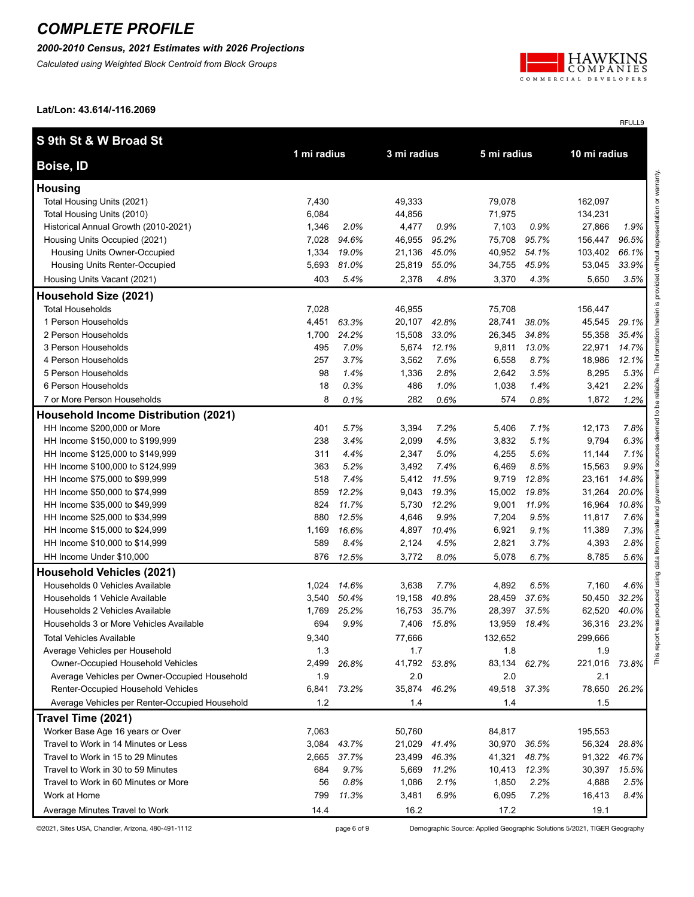*2000-2010 Census, 2021 Estimates with 2026 Projections*

*Calculated using Weighted Block Centroid from Block Groups*



RFULL9

**Lat/Lon: 43.614/-116.2069**

| S 9th St & W Broad St                                |             |               |                |              |                |              |                 |                         |
|------------------------------------------------------|-------------|---------------|----------------|--------------|----------------|--------------|-----------------|-------------------------|
| Boise, ID                                            | 1 mi radius |               | 3 mi radius    |              | 5 mi radius    |              | 10 mi radius    |                         |
| <b>Housing</b>                                       |             |               |                |              |                |              |                 | esentation or warranty. |
| Total Housing Units (2021)                           | 7,430       |               | 49,333         |              | 79,078         |              | 162,097         |                         |
| Total Housing Units (2010)                           | 6,084       |               | 44,856         |              | 71,975         |              | 134,231         |                         |
| Historical Annual Growth (2010-2021)                 | 1,346       | 2.0%          | 4,477          | 0.9%         | 7,103          | 0.9%         | 27,866          | 1.9%                    |
| Housing Units Occupied (2021)                        | 7,028       | 94.6%         | 46,955         | 95.2%        | 75,708         | 95.7%        | 156,447         | 96.5%                   |
| Housing Units Owner-Occupied                         | 1,334       | 19.0%         | 21,136         | 45.0%        | 40,952         | 54.1%        | 103,402         | 66.1%                   |
| Housing Units Renter-Occupied                        | 5,693       | 81.0%         | 25,819         | 55.0%        | 34,755         | 45.9%        | 53,045          | 33.9%                   |
| Housing Units Vacant (2021)                          | 403         | 5.4%          | 2,378          | 4.8%         | 3,370          | 4.3%         | 5,650           | 3.5%                    |
| Household Size (2021)                                |             |               |                |              |                |              |                 |                         |
| <b>Total Households</b>                              | 7,028       |               | 46,955         |              | 75,708         |              | 156,447         | $\bar{\bm{\omega}}$     |
| 1 Person Households                                  | 4,451       | 63.3%         | 20,107         | 42.8%        | 28,741         | 38.0%        | 45,545          | 29.1%                   |
| 2 Person Households                                  | 1,700       | 24.2%         | 15,508         | 33.0%        | 26,345         | 34.8%        | 55,358          | 35.4%                   |
| 3 Person Households                                  | 495         | 7.0%          | 5,674          | 12.1%        | 9,811          | 13.0%        | 22,971          | 14.7%                   |
| 4 Person Households                                  | 257         | 3.7%          | 3,562          | 7.6%         | 6,558          | 8.7%         | 18,986          | 12.1%                   |
| 5 Person Households                                  | 98          | 1.4%          | 1,336          | 2.8%         | 2,642          | 3.5%         | 8,295           | 5.3%                    |
| 6 Person Households                                  | 18          | 0.3%          | 486            | 1.0%         | 1,038          | 1.4%         | 3,421           | 2.2%                    |
| 7 or More Person Households                          | 8           | 0.1%          | 282            | 0.6%         | 574            | 0.8%         | 1,872           | 1.2%                    |
| <b>Household Income Distribution (2021)</b>          |             |               |                |              |                |              |                 | $\mathbf{S}$            |
| HH Income \$200,000 or More                          | 401         | 5.7%          | 3,394          | 7.2%         | 5,406          | 7.1%         | 12,173          | 7.8%                    |
| HH Income \$150,000 to \$199,999                     | 238         | 3.4%          | 2,099          | 4.5%         | 3,832          | 5.1%         | 9,794           | 6.3%                    |
| HH Income \$125,000 to \$149,999                     | 311         | 4.4%          | 2,347          | 5.0%         | 4,255          | 5.6%         | 11,144          | 7.1%                    |
| HH Income \$100,000 to \$124,999                     | 363         | 5.2%          | 3,492          | 7.4%         | 6,469          | 8.5%         | 15,563          | 9.9%                    |
| HH Income \$75,000 to \$99,999                       | 518         | 7.4%          | 5,412          | 11.5%        | 9,719          | 12.8%        | 23,161          | 14.8%                   |
| HH Income \$50,000 to \$74,999                       | 859         | 12.2%         | 9,043          | 19.3%        | 15,002         | 19.8%        | 31,264          | 20.0%                   |
| HH Income \$35,000 to \$49,999                       | 824         | 11.7%         | 5,730          | 12.2%        | 9,001          | 11.9%        | 16,964          | 10.8%                   |
| HH Income \$25,000 to \$34,999                       | 880         | 12.5%         | 4,646          | 9.9%         | 7,204          | 9.5%         | 11,817          | 7.6%                    |
| HH Income \$15,000 to \$24,999                       | 1,169       | 16.6%         | 4,897          | 10.4%        | 6,921          | 9.1%         | 11,389          | 7.3%                    |
| HH Income \$10,000 to \$14,999                       | 589         | 8.4%          | 2,124          | 4.5%         | 2,821          | 3.7%         | 4,393           | 2.8%                    |
| HH Income Under \$10,000                             | 876         | 12.5%         | 3,772          | 8.0%         | 5,078          | 6.7%         | 8,785           | 5.6%<br>data            |
| <b>Household Vehicles (2021)</b>                     |             |               |                |              |                |              |                 |                         |
| Households 0 Vehicles Available                      | 1,024       | 14.6%         | 3,638          | 7.7%         | 4,892          | 6.5%         | 7,160           | 4.6%                    |
| Households 1 Vehicle Available                       | 3,540       | 50.4%         | 19,158         | 40.8%        | 28,459         | 37.6%        | 50,450          | 32.2%                   |
| Households 2 Vehicles Available                      | 1,769       | 25.2%         | 16,753         | 35.7%        | 28,397         | 37.5%        | 62,520          | 40.0%                   |
| Households 3 or More Vehicles Available              | 694         | 9.9%          | 7,406          | 15.8%        | 13,959         | 18.4%        | 36,316          | 23.2%                   |
| <b>Total Vehicles Available</b>                      | 9,340       |               | 77,666         |              | 132,652        |              | 299.666         | $\overline{5}$          |
| Average Vehicles per Household                       | 1.3         |               | 1.7            |              | 1.8            |              | 1.9             | This rep                |
| Owner-Occupied Household Vehicles                    | 2,499       | 26.8%         | 41,792 53.8%   |              | 83,134         | 62.7%        | 221,016         | 73.8%                   |
| Average Vehicles per Owner-Occupied Household        | 1.9         |               | 2.0            |              | 2.0            |              | 2.1             |                         |
| Renter-Occupied Household Vehicles                   | 6,841       | 73.2%         | 35,874         | 46.2%        | 49,518         | 37.3%        | 78,650          | 26.2%                   |
| Average Vehicles per Renter-Occupied Household       | $1.2$       |               | 1.4            |              | 1.4            |              | 1.5             |                         |
| Travel Time (2021)                                   |             |               |                |              |                |              |                 |                         |
| Worker Base Age 16 years or Over                     | 7,063       |               | 50,760         |              | 84,817         |              | 195,553         |                         |
| Travel to Work in 14 Minutes or Less                 | 3,084       | 43.7%         | 21,029         | 41.4%        | 30,970         | 36.5%        | 56,324          | 28.8%                   |
| Travel to Work in 15 to 29 Minutes                   | 2,665       | 37.7%         | 23,499         | 46.3%        | 41,321         | 48.7%        | 91,322          | 46.7%                   |
| Travel to Work in 30 to 59 Minutes                   | 684         | 9.7%          | 5,669          | 11.2%        | 10,413         | 12.3%        | 30,397          | 15.5%                   |
| Travel to Work in 60 Minutes or More<br>Work at Home | 56<br>799   | 0.8%<br>11.3% | 1,086<br>3,481 | 2.1%<br>6.9% | 1,850<br>6,095 | 2.2%<br>7.2% | 4,888<br>16,413 | 2.5%<br>$8.4\%$         |
|                                                      | 14.4        |               | 16.2           |              | 17.2           |              |                 |                         |
| Average Minutes Travel to Work                       |             |               |                |              |                |              | 19.1            |                         |

©2021, Sites USA, Chandler, Arizona, 480-491-1112 page 6 of 9 Demographic Source: Applied Geographic Solutions 5/2021, TIGER Geography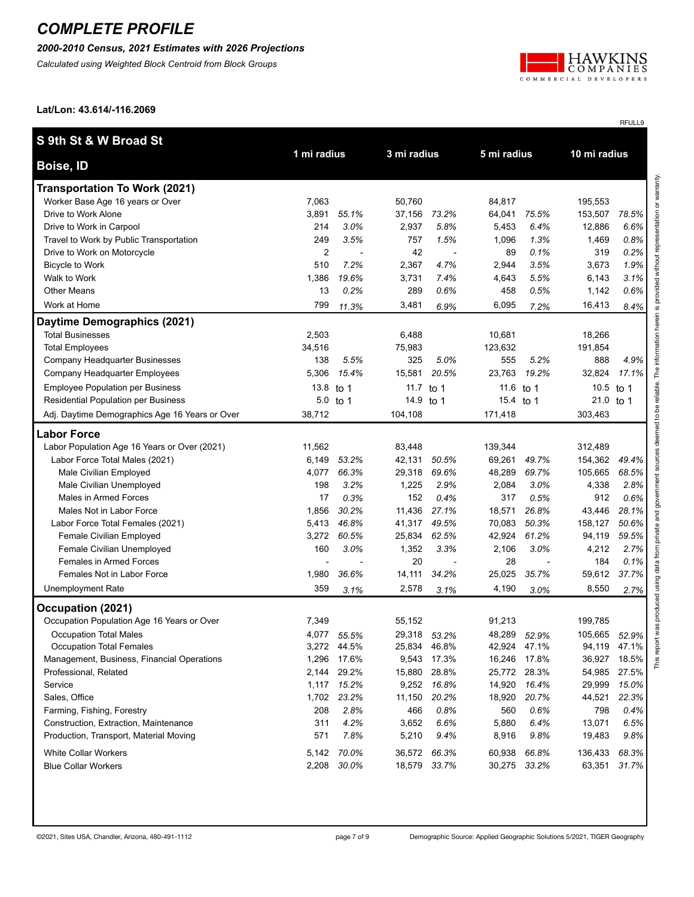### *2000-2010 Census, 2021 Estimates with 2026 Projections*

*Calculated using Weighted Block Centroid from Block Groups*



RFULL9

**Lat/Lon: 43.614/-116.2069**

| Boise, ID<br><b>Transportation To Work (2021)</b><br>Worker Base Age 16 years or Over<br>7,063<br>50,760<br>84,817<br>195,553<br>Drive to Work Alone<br>3,891<br>55.1%<br>37,156<br>64,041<br>75.5%<br>153,507<br>73.2%<br>Drive to Work in Carpool<br>5.8%<br>214<br>3.0%<br>2,937<br>5,453<br>6.4%<br>12,886<br>Travel to Work by Public Transportation<br>249<br>3.5%<br>757<br>1.5%<br>1,096<br>1.3%<br>1,469<br>$\overline{2}$<br>42<br>0.1%<br>319<br>0.2%<br>Drive to Work on Motorcycle<br>89<br>7.2%<br>1.9%<br>510<br>2,367<br>4.7%<br>2,944<br>3.5%<br>3,673<br><b>Bicycle to Work</b><br>Walk to Work<br>19.6%<br>7.4%<br>5.5%<br>3.1%<br>1,386<br>3,731<br>4,643<br>6,143<br><b>Other Means</b><br>13<br>0.2%<br>289<br>0.6%<br>458<br>0.5%<br>0.6%<br>1,142<br>799<br>6,095<br>Work at Home<br>3,481<br>16,413<br>11.3%<br>6.9%<br>7.2%<br>Daytime Demographics (2021)<br><b>Total Businesses</b><br>2,503<br>6,488<br>10,681<br>18,266<br>34,516<br>123,632<br><b>Total Employees</b><br>75,983<br>191,854<br>138<br>5.5%<br>325<br>555<br>5.2%<br>888<br>Company Headquarter Businesses<br>5.0%<br>5,306<br>15.4%<br>15,581<br>20.5%<br>23,763<br>19.2%<br>32,824<br>Company Headquarter Employees<br><b>Employee Population per Business</b><br>13.8<br>10.5 to 1<br>to 1<br>11.7<br>to 1<br>11.6<br>to 1<br><b>Residential Population per Business</b><br>14.9 to 1<br>21.0 to 1<br>5.0<br>to 1<br>15.4 to 1<br>38,712<br>104,108<br>171,418<br>303,463<br>Adj. Daytime Demographics Age 16 Years or Over<br><b>Labor Force</b><br>Labor Population Age 16 Years or Over (2021)<br>11,562<br>83,448<br>139,344<br>312,489<br>Labor Force Total Males (2021)<br>53.2%<br>69,261<br>49.7%<br>154,362<br>6,149<br>42,131<br>50.5%<br>Male Civilian Employed<br>4,077<br>66.3%<br>29,318<br>69.6%<br>48,289<br>69.7%<br>105,665<br>198<br>3.2%<br>2.9%<br>2,084<br>3.0%<br>Male Civilian Unemployed<br>1,225<br>4,338<br>Males in Armed Forces<br>17<br>0.3%<br>152<br>0.4%<br>317<br>0.5%<br>912<br>1,856<br>30.2%<br>11,436<br>27.1%<br>18,571<br>26.8%<br>Males Not in Labor Force<br>43,446<br>Labor Force Total Females (2021)<br>5,413<br>46.8%<br>41,317<br>49.5%<br>70,083<br>50.3%<br>158,127<br>60.5%<br>62.5%<br>42,924<br>61.2%<br><b>Female Civilian Employed</b><br>3,272<br>25,834<br>94,119<br>Female Civilian Unemployed<br>160<br>3.0%<br>1,352<br>3.3%<br>2,106<br>3.0%<br>4,212<br>20<br>Females in Armed Forces<br>28<br>184<br>٠<br>Females Not in Labor Force<br>1,980<br>36.6%<br>25,025<br>35.7%<br>59,612<br>14,111<br>34.2%<br><b>Unemployment Rate</b><br>359<br>2,578<br>4,190<br>8,550<br>3.1%<br>3.1%<br>3.0%<br>Occupation (2021)<br>Occupation Population Age 16 Years or Over<br>7,349<br>55,152<br>91,213<br>199,785<br>4,077<br>29,318<br>48,289<br>105,665<br>Occupation Total Males<br>55.5%<br>53.2%<br>52.9%<br>42,924 47.1%<br><b>Occupation Total Females</b><br>3,272 44.5%<br>25,834 46.8%<br>94,119 47.1% | S 9th St & W Broad St | 1 mi radius | 3 mi radius | 5 mi radius | 10 mi radius |       |
|----------------------------------------------------------------------------------------------------------------------------------------------------------------------------------------------------------------------------------------------------------------------------------------------------------------------------------------------------------------------------------------------------------------------------------------------------------------------------------------------------------------------------------------------------------------------------------------------------------------------------------------------------------------------------------------------------------------------------------------------------------------------------------------------------------------------------------------------------------------------------------------------------------------------------------------------------------------------------------------------------------------------------------------------------------------------------------------------------------------------------------------------------------------------------------------------------------------------------------------------------------------------------------------------------------------------------------------------------------------------------------------------------------------------------------------------------------------------------------------------------------------------------------------------------------------------------------------------------------------------------------------------------------------------------------------------------------------------------------------------------------------------------------------------------------------------------------------------------------------------------------------------------------------------------------------------------------------------------------------------------------------------------------------------------------------------------------------------------------------------------------------------------------------------------------------------------------------------------------------------------------------------------------------------------------------------------------------------------------------------------------------------------------------------------------------------------------------------------------------------------------------------------------------------------------------------------------------------------------------------------------------------------------------------------------------------------------------------------------------------------------------------------------------------------------------------------------------------------------------------------------------------------------------------------------------------------------------------|-----------------------|-------------|-------------|-------------|--------------|-------|
|                                                                                                                                                                                                                                                                                                                                                                                                                                                                                                                                                                                                                                                                                                                                                                                                                                                                                                                                                                                                                                                                                                                                                                                                                                                                                                                                                                                                                                                                                                                                                                                                                                                                                                                                                                                                                                                                                                                                                                                                                                                                                                                                                                                                                                                                                                                                                                                                                                                                                                                                                                                                                                                                                                                                                                                                                                                                                                                                                                      |                       |             |             |             |              |       |
|                                                                                                                                                                                                                                                                                                                                                                                                                                                                                                                                                                                                                                                                                                                                                                                                                                                                                                                                                                                                                                                                                                                                                                                                                                                                                                                                                                                                                                                                                                                                                                                                                                                                                                                                                                                                                                                                                                                                                                                                                                                                                                                                                                                                                                                                                                                                                                                                                                                                                                                                                                                                                                                                                                                                                                                                                                                                                                                                                                      |                       |             |             |             |              |       |
|                                                                                                                                                                                                                                                                                                                                                                                                                                                                                                                                                                                                                                                                                                                                                                                                                                                                                                                                                                                                                                                                                                                                                                                                                                                                                                                                                                                                                                                                                                                                                                                                                                                                                                                                                                                                                                                                                                                                                                                                                                                                                                                                                                                                                                                                                                                                                                                                                                                                                                                                                                                                                                                                                                                                                                                                                                                                                                                                                                      |                       |             |             |             |              |       |
|                                                                                                                                                                                                                                                                                                                                                                                                                                                                                                                                                                                                                                                                                                                                                                                                                                                                                                                                                                                                                                                                                                                                                                                                                                                                                                                                                                                                                                                                                                                                                                                                                                                                                                                                                                                                                                                                                                                                                                                                                                                                                                                                                                                                                                                                                                                                                                                                                                                                                                                                                                                                                                                                                                                                                                                                                                                                                                                                                                      |                       |             |             |             |              | 78.5% |
|                                                                                                                                                                                                                                                                                                                                                                                                                                                                                                                                                                                                                                                                                                                                                                                                                                                                                                                                                                                                                                                                                                                                                                                                                                                                                                                                                                                                                                                                                                                                                                                                                                                                                                                                                                                                                                                                                                                                                                                                                                                                                                                                                                                                                                                                                                                                                                                                                                                                                                                                                                                                                                                                                                                                                                                                                                                                                                                                                                      |                       |             |             |             |              | 6.6%  |
|                                                                                                                                                                                                                                                                                                                                                                                                                                                                                                                                                                                                                                                                                                                                                                                                                                                                                                                                                                                                                                                                                                                                                                                                                                                                                                                                                                                                                                                                                                                                                                                                                                                                                                                                                                                                                                                                                                                                                                                                                                                                                                                                                                                                                                                                                                                                                                                                                                                                                                                                                                                                                                                                                                                                                                                                                                                                                                                                                                      |                       |             |             |             |              | 0.8%  |
|                                                                                                                                                                                                                                                                                                                                                                                                                                                                                                                                                                                                                                                                                                                                                                                                                                                                                                                                                                                                                                                                                                                                                                                                                                                                                                                                                                                                                                                                                                                                                                                                                                                                                                                                                                                                                                                                                                                                                                                                                                                                                                                                                                                                                                                                                                                                                                                                                                                                                                                                                                                                                                                                                                                                                                                                                                                                                                                                                                      |                       |             |             |             |              |       |
|                                                                                                                                                                                                                                                                                                                                                                                                                                                                                                                                                                                                                                                                                                                                                                                                                                                                                                                                                                                                                                                                                                                                                                                                                                                                                                                                                                                                                                                                                                                                                                                                                                                                                                                                                                                                                                                                                                                                                                                                                                                                                                                                                                                                                                                                                                                                                                                                                                                                                                                                                                                                                                                                                                                                                                                                                                                                                                                                                                      |                       |             |             |             |              |       |
|                                                                                                                                                                                                                                                                                                                                                                                                                                                                                                                                                                                                                                                                                                                                                                                                                                                                                                                                                                                                                                                                                                                                                                                                                                                                                                                                                                                                                                                                                                                                                                                                                                                                                                                                                                                                                                                                                                                                                                                                                                                                                                                                                                                                                                                                                                                                                                                                                                                                                                                                                                                                                                                                                                                                                                                                                                                                                                                                                                      |                       |             |             |             |              |       |
|                                                                                                                                                                                                                                                                                                                                                                                                                                                                                                                                                                                                                                                                                                                                                                                                                                                                                                                                                                                                                                                                                                                                                                                                                                                                                                                                                                                                                                                                                                                                                                                                                                                                                                                                                                                                                                                                                                                                                                                                                                                                                                                                                                                                                                                                                                                                                                                                                                                                                                                                                                                                                                                                                                                                                                                                                                                                                                                                                                      |                       |             |             |             |              |       |
|                                                                                                                                                                                                                                                                                                                                                                                                                                                                                                                                                                                                                                                                                                                                                                                                                                                                                                                                                                                                                                                                                                                                                                                                                                                                                                                                                                                                                                                                                                                                                                                                                                                                                                                                                                                                                                                                                                                                                                                                                                                                                                                                                                                                                                                                                                                                                                                                                                                                                                                                                                                                                                                                                                                                                                                                                                                                                                                                                                      |                       |             |             |             |              | 8.4%  |
|                                                                                                                                                                                                                                                                                                                                                                                                                                                                                                                                                                                                                                                                                                                                                                                                                                                                                                                                                                                                                                                                                                                                                                                                                                                                                                                                                                                                                                                                                                                                                                                                                                                                                                                                                                                                                                                                                                                                                                                                                                                                                                                                                                                                                                                                                                                                                                                                                                                                                                                                                                                                                                                                                                                                                                                                                                                                                                                                                                      |                       |             |             |             |              |       |
|                                                                                                                                                                                                                                                                                                                                                                                                                                                                                                                                                                                                                                                                                                                                                                                                                                                                                                                                                                                                                                                                                                                                                                                                                                                                                                                                                                                                                                                                                                                                                                                                                                                                                                                                                                                                                                                                                                                                                                                                                                                                                                                                                                                                                                                                                                                                                                                                                                                                                                                                                                                                                                                                                                                                                                                                                                                                                                                                                                      |                       |             |             |             |              |       |
|                                                                                                                                                                                                                                                                                                                                                                                                                                                                                                                                                                                                                                                                                                                                                                                                                                                                                                                                                                                                                                                                                                                                                                                                                                                                                                                                                                                                                                                                                                                                                                                                                                                                                                                                                                                                                                                                                                                                                                                                                                                                                                                                                                                                                                                                                                                                                                                                                                                                                                                                                                                                                                                                                                                                                                                                                                                                                                                                                                      |                       |             |             |             |              |       |
|                                                                                                                                                                                                                                                                                                                                                                                                                                                                                                                                                                                                                                                                                                                                                                                                                                                                                                                                                                                                                                                                                                                                                                                                                                                                                                                                                                                                                                                                                                                                                                                                                                                                                                                                                                                                                                                                                                                                                                                                                                                                                                                                                                                                                                                                                                                                                                                                                                                                                                                                                                                                                                                                                                                                                                                                                                                                                                                                                                      |                       |             |             |             |              | 4.9%  |
|                                                                                                                                                                                                                                                                                                                                                                                                                                                                                                                                                                                                                                                                                                                                                                                                                                                                                                                                                                                                                                                                                                                                                                                                                                                                                                                                                                                                                                                                                                                                                                                                                                                                                                                                                                                                                                                                                                                                                                                                                                                                                                                                                                                                                                                                                                                                                                                                                                                                                                                                                                                                                                                                                                                                                                                                                                                                                                                                                                      |                       |             |             |             |              | 17.1% |
|                                                                                                                                                                                                                                                                                                                                                                                                                                                                                                                                                                                                                                                                                                                                                                                                                                                                                                                                                                                                                                                                                                                                                                                                                                                                                                                                                                                                                                                                                                                                                                                                                                                                                                                                                                                                                                                                                                                                                                                                                                                                                                                                                                                                                                                                                                                                                                                                                                                                                                                                                                                                                                                                                                                                                                                                                                                                                                                                                                      |                       |             |             |             |              |       |
|                                                                                                                                                                                                                                                                                                                                                                                                                                                                                                                                                                                                                                                                                                                                                                                                                                                                                                                                                                                                                                                                                                                                                                                                                                                                                                                                                                                                                                                                                                                                                                                                                                                                                                                                                                                                                                                                                                                                                                                                                                                                                                                                                                                                                                                                                                                                                                                                                                                                                                                                                                                                                                                                                                                                                                                                                                                                                                                                                                      |                       |             |             |             |              |       |
|                                                                                                                                                                                                                                                                                                                                                                                                                                                                                                                                                                                                                                                                                                                                                                                                                                                                                                                                                                                                                                                                                                                                                                                                                                                                                                                                                                                                                                                                                                                                                                                                                                                                                                                                                                                                                                                                                                                                                                                                                                                                                                                                                                                                                                                                                                                                                                                                                                                                                                                                                                                                                                                                                                                                                                                                                                                                                                                                                                      |                       |             |             |             |              |       |
|                                                                                                                                                                                                                                                                                                                                                                                                                                                                                                                                                                                                                                                                                                                                                                                                                                                                                                                                                                                                                                                                                                                                                                                                                                                                                                                                                                                                                                                                                                                                                                                                                                                                                                                                                                                                                                                                                                                                                                                                                                                                                                                                                                                                                                                                                                                                                                                                                                                                                                                                                                                                                                                                                                                                                                                                                                                                                                                                                                      |                       |             |             |             |              |       |
|                                                                                                                                                                                                                                                                                                                                                                                                                                                                                                                                                                                                                                                                                                                                                                                                                                                                                                                                                                                                                                                                                                                                                                                                                                                                                                                                                                                                                                                                                                                                                                                                                                                                                                                                                                                                                                                                                                                                                                                                                                                                                                                                                                                                                                                                                                                                                                                                                                                                                                                                                                                                                                                                                                                                                                                                                                                                                                                                                                      |                       |             |             |             |              |       |
|                                                                                                                                                                                                                                                                                                                                                                                                                                                                                                                                                                                                                                                                                                                                                                                                                                                                                                                                                                                                                                                                                                                                                                                                                                                                                                                                                                                                                                                                                                                                                                                                                                                                                                                                                                                                                                                                                                                                                                                                                                                                                                                                                                                                                                                                                                                                                                                                                                                                                                                                                                                                                                                                                                                                                                                                                                                                                                                                                                      |                       |             |             |             |              | 49.4% |
|                                                                                                                                                                                                                                                                                                                                                                                                                                                                                                                                                                                                                                                                                                                                                                                                                                                                                                                                                                                                                                                                                                                                                                                                                                                                                                                                                                                                                                                                                                                                                                                                                                                                                                                                                                                                                                                                                                                                                                                                                                                                                                                                                                                                                                                                                                                                                                                                                                                                                                                                                                                                                                                                                                                                                                                                                                                                                                                                                                      |                       |             |             |             |              | 68.5% |
|                                                                                                                                                                                                                                                                                                                                                                                                                                                                                                                                                                                                                                                                                                                                                                                                                                                                                                                                                                                                                                                                                                                                                                                                                                                                                                                                                                                                                                                                                                                                                                                                                                                                                                                                                                                                                                                                                                                                                                                                                                                                                                                                                                                                                                                                                                                                                                                                                                                                                                                                                                                                                                                                                                                                                                                                                                                                                                                                                                      |                       |             |             |             |              | 2.8%  |
|                                                                                                                                                                                                                                                                                                                                                                                                                                                                                                                                                                                                                                                                                                                                                                                                                                                                                                                                                                                                                                                                                                                                                                                                                                                                                                                                                                                                                                                                                                                                                                                                                                                                                                                                                                                                                                                                                                                                                                                                                                                                                                                                                                                                                                                                                                                                                                                                                                                                                                                                                                                                                                                                                                                                                                                                                                                                                                                                                                      |                       |             |             |             |              | 0.6%  |
|                                                                                                                                                                                                                                                                                                                                                                                                                                                                                                                                                                                                                                                                                                                                                                                                                                                                                                                                                                                                                                                                                                                                                                                                                                                                                                                                                                                                                                                                                                                                                                                                                                                                                                                                                                                                                                                                                                                                                                                                                                                                                                                                                                                                                                                                                                                                                                                                                                                                                                                                                                                                                                                                                                                                                                                                                                                                                                                                                                      |                       |             |             |             |              | 28.1% |
|                                                                                                                                                                                                                                                                                                                                                                                                                                                                                                                                                                                                                                                                                                                                                                                                                                                                                                                                                                                                                                                                                                                                                                                                                                                                                                                                                                                                                                                                                                                                                                                                                                                                                                                                                                                                                                                                                                                                                                                                                                                                                                                                                                                                                                                                                                                                                                                                                                                                                                                                                                                                                                                                                                                                                                                                                                                                                                                                                                      |                       |             |             |             |              | 50.6% |
|                                                                                                                                                                                                                                                                                                                                                                                                                                                                                                                                                                                                                                                                                                                                                                                                                                                                                                                                                                                                                                                                                                                                                                                                                                                                                                                                                                                                                                                                                                                                                                                                                                                                                                                                                                                                                                                                                                                                                                                                                                                                                                                                                                                                                                                                                                                                                                                                                                                                                                                                                                                                                                                                                                                                                                                                                                                                                                                                                                      |                       |             |             |             |              | 59.5% |
|                                                                                                                                                                                                                                                                                                                                                                                                                                                                                                                                                                                                                                                                                                                                                                                                                                                                                                                                                                                                                                                                                                                                                                                                                                                                                                                                                                                                                                                                                                                                                                                                                                                                                                                                                                                                                                                                                                                                                                                                                                                                                                                                                                                                                                                                                                                                                                                                                                                                                                                                                                                                                                                                                                                                                                                                                                                                                                                                                                      |                       |             |             |             |              | 2.7%  |
|                                                                                                                                                                                                                                                                                                                                                                                                                                                                                                                                                                                                                                                                                                                                                                                                                                                                                                                                                                                                                                                                                                                                                                                                                                                                                                                                                                                                                                                                                                                                                                                                                                                                                                                                                                                                                                                                                                                                                                                                                                                                                                                                                                                                                                                                                                                                                                                                                                                                                                                                                                                                                                                                                                                                                                                                                                                                                                                                                                      |                       |             |             |             |              | 0.1%  |
|                                                                                                                                                                                                                                                                                                                                                                                                                                                                                                                                                                                                                                                                                                                                                                                                                                                                                                                                                                                                                                                                                                                                                                                                                                                                                                                                                                                                                                                                                                                                                                                                                                                                                                                                                                                                                                                                                                                                                                                                                                                                                                                                                                                                                                                                                                                                                                                                                                                                                                                                                                                                                                                                                                                                                                                                                                                                                                                                                                      |                       |             |             |             |              | 37.7% |
|                                                                                                                                                                                                                                                                                                                                                                                                                                                                                                                                                                                                                                                                                                                                                                                                                                                                                                                                                                                                                                                                                                                                                                                                                                                                                                                                                                                                                                                                                                                                                                                                                                                                                                                                                                                                                                                                                                                                                                                                                                                                                                                                                                                                                                                                                                                                                                                                                                                                                                                                                                                                                                                                                                                                                                                                                                                                                                                                                                      |                       |             |             |             |              | 2.7%  |
|                                                                                                                                                                                                                                                                                                                                                                                                                                                                                                                                                                                                                                                                                                                                                                                                                                                                                                                                                                                                                                                                                                                                                                                                                                                                                                                                                                                                                                                                                                                                                                                                                                                                                                                                                                                                                                                                                                                                                                                                                                                                                                                                                                                                                                                                                                                                                                                                                                                                                                                                                                                                                                                                                                                                                                                                                                                                                                                                                                      |                       |             |             |             |              |       |
|                                                                                                                                                                                                                                                                                                                                                                                                                                                                                                                                                                                                                                                                                                                                                                                                                                                                                                                                                                                                                                                                                                                                                                                                                                                                                                                                                                                                                                                                                                                                                                                                                                                                                                                                                                                                                                                                                                                                                                                                                                                                                                                                                                                                                                                                                                                                                                                                                                                                                                                                                                                                                                                                                                                                                                                                                                                                                                                                                                      |                       |             |             |             |              |       |
|                                                                                                                                                                                                                                                                                                                                                                                                                                                                                                                                                                                                                                                                                                                                                                                                                                                                                                                                                                                                                                                                                                                                                                                                                                                                                                                                                                                                                                                                                                                                                                                                                                                                                                                                                                                                                                                                                                                                                                                                                                                                                                                                                                                                                                                                                                                                                                                                                                                                                                                                                                                                                                                                                                                                                                                                                                                                                                                                                                      |                       |             |             |             |              | 52.9% |
|                                                                                                                                                                                                                                                                                                                                                                                                                                                                                                                                                                                                                                                                                                                                                                                                                                                                                                                                                                                                                                                                                                                                                                                                                                                                                                                                                                                                                                                                                                                                                                                                                                                                                                                                                                                                                                                                                                                                                                                                                                                                                                                                                                                                                                                                                                                                                                                                                                                                                                                                                                                                                                                                                                                                                                                                                                                                                                                                                                      |                       |             |             |             |              |       |
| 1,296<br>17.6%<br>9,543<br>17.3%<br>16,246<br>17.8%<br>36,927<br>Management, Business, Financial Operations                                                                                                                                                                                                                                                                                                                                                                                                                                                                                                                                                                                                                                                                                                                                                                                                                                                                                                                                                                                                                                                                                                                                                                                                                                                                                                                                                                                                                                                                                                                                                                                                                                                                                                                                                                                                                                                                                                                                                                                                                                                                                                                                                                                                                                                                                                                                                                                                                                                                                                                                                                                                                                                                                                                                                                                                                                                          |                       |             |             |             |              | 18.5% |
| 2,144<br>29.2%<br>25,772<br>28.3%<br>Professional, Related<br>15,880<br>28.8%<br>54,985                                                                                                                                                                                                                                                                                                                                                                                                                                                                                                                                                                                                                                                                                                                                                                                                                                                                                                                                                                                                                                                                                                                                                                                                                                                                                                                                                                                                                                                                                                                                                                                                                                                                                                                                                                                                                                                                                                                                                                                                                                                                                                                                                                                                                                                                                                                                                                                                                                                                                                                                                                                                                                                                                                                                                                                                                                                                              |                       |             |             |             |              | 27.5% |
| 15.2%<br>9,252<br>14,920<br>16.4%<br>29,999<br>Service<br>1,117<br>16.8%                                                                                                                                                                                                                                                                                                                                                                                                                                                                                                                                                                                                                                                                                                                                                                                                                                                                                                                                                                                                                                                                                                                                                                                                                                                                                                                                                                                                                                                                                                                                                                                                                                                                                                                                                                                                                                                                                                                                                                                                                                                                                                                                                                                                                                                                                                                                                                                                                                                                                                                                                                                                                                                                                                                                                                                                                                                                                             |                       |             |             |             |              | 15.0% |
| 1,702<br>18,920<br>20.7%<br>Sales, Office<br>23.2%<br>11,150<br>20.2%<br>44,521                                                                                                                                                                                                                                                                                                                                                                                                                                                                                                                                                                                                                                                                                                                                                                                                                                                                                                                                                                                                                                                                                                                                                                                                                                                                                                                                                                                                                                                                                                                                                                                                                                                                                                                                                                                                                                                                                                                                                                                                                                                                                                                                                                                                                                                                                                                                                                                                                                                                                                                                                                                                                                                                                                                                                                                                                                                                                      |                       |             |             |             |              | 22.3% |
| 208<br>2.8%<br>0.8%<br>560<br>0.6%<br>Farming, Fishing, Forestry<br>466<br>798                                                                                                                                                                                                                                                                                                                                                                                                                                                                                                                                                                                                                                                                                                                                                                                                                                                                                                                                                                                                                                                                                                                                                                                                                                                                                                                                                                                                                                                                                                                                                                                                                                                                                                                                                                                                                                                                                                                                                                                                                                                                                                                                                                                                                                                                                                                                                                                                                                                                                                                                                                                                                                                                                                                                                                                                                                                                                       |                       |             |             |             |              | 0.4%  |
| 311<br>4.2%<br>6.6%<br>5,880<br>Construction, Extraction, Maintenance<br>3,652<br>6.4%<br>13,071                                                                                                                                                                                                                                                                                                                                                                                                                                                                                                                                                                                                                                                                                                                                                                                                                                                                                                                                                                                                                                                                                                                                                                                                                                                                                                                                                                                                                                                                                                                                                                                                                                                                                                                                                                                                                                                                                                                                                                                                                                                                                                                                                                                                                                                                                                                                                                                                                                                                                                                                                                                                                                                                                                                                                                                                                                                                     |                       |             |             |             |              | 6.5%  |
| 571<br>7.8%<br>Production, Transport, Material Moving<br>5,210<br>9.4%<br>8,916<br>9.8%<br>19,483                                                                                                                                                                                                                                                                                                                                                                                                                                                                                                                                                                                                                                                                                                                                                                                                                                                                                                                                                                                                                                                                                                                                                                                                                                                                                                                                                                                                                                                                                                                                                                                                                                                                                                                                                                                                                                                                                                                                                                                                                                                                                                                                                                                                                                                                                                                                                                                                                                                                                                                                                                                                                                                                                                                                                                                                                                                                    |                       |             |             |             |              | 9.8%  |
| <b>White Collar Workers</b><br>70.0%<br>5,142<br>36,572<br>66.3%<br>60,938<br>66.8%<br>136,433                                                                                                                                                                                                                                                                                                                                                                                                                                                                                                                                                                                                                                                                                                                                                                                                                                                                                                                                                                                                                                                                                                                                                                                                                                                                                                                                                                                                                                                                                                                                                                                                                                                                                                                                                                                                                                                                                                                                                                                                                                                                                                                                                                                                                                                                                                                                                                                                                                                                                                                                                                                                                                                                                                                                                                                                                                                                       |                       |             |             |             |              | 68.3% |
| 2,208<br>30.0%<br>18,579<br>33.7%<br>30,275<br>33.2%<br>63,351<br><b>Blue Collar Workers</b>                                                                                                                                                                                                                                                                                                                                                                                                                                                                                                                                                                                                                                                                                                                                                                                                                                                                                                                                                                                                                                                                                                                                                                                                                                                                                                                                                                                                                                                                                                                                                                                                                                                                                                                                                                                                                                                                                                                                                                                                                                                                                                                                                                                                                                                                                                                                                                                                                                                                                                                                                                                                                                                                                                                                                                                                                                                                         |                       |             |             |             |              | 31.7% |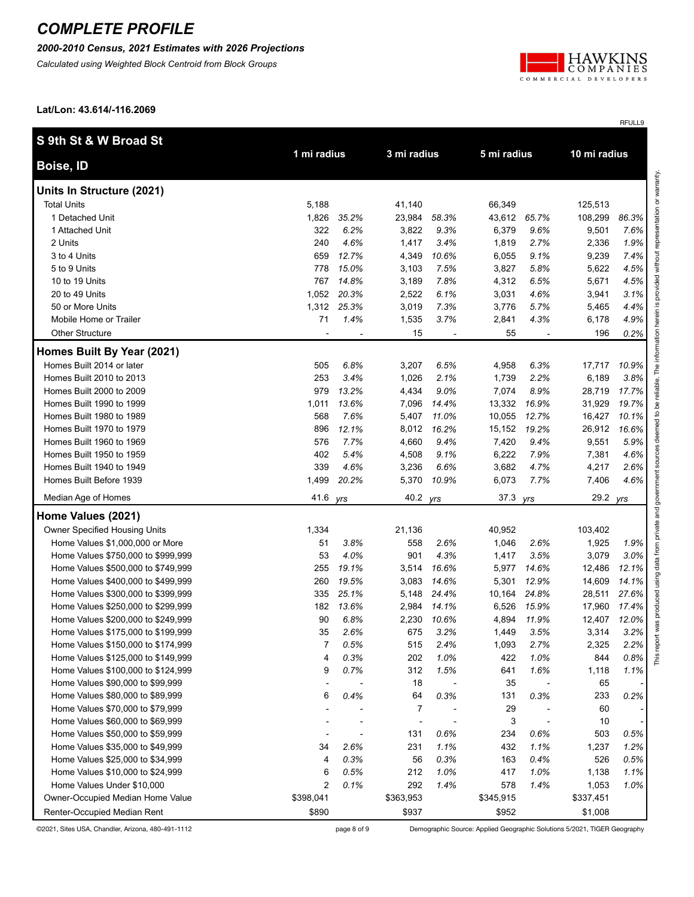*2000-2010 Census, 2021 Estimates with 2026 Projections*

*Calculated using Weighted Block Centroid from Block Groups*



RFULL9

**Lat/Lon: 43.614/-116.2069**

| S 9th St & W Broad St              |                |       |             |       |             |       |           |              |  |
|------------------------------------|----------------|-------|-------------|-------|-------------|-------|-----------|--------------|--|
| Boise, ID                          | 1 mi radius    |       | 3 mi radius |       | 5 mi radius |       |           | 10 mi radius |  |
| Units In Structure (2021)          |                |       |             |       |             |       |           |              |  |
| <b>Total Units</b>                 | 5,188          |       | 41,140      |       | 66,349      |       | 125,513   |              |  |
| 1 Detached Unit                    | 1,826          | 35.2% | 23,984      | 58.3% | 43,612      | 65.7% | 108,299   | 86.3%        |  |
| 1 Attached Unit                    | 322            | 6.2%  | 3,822       | 9.3%  | 6,379       | 9.6%  | 9,501     | 7.6%         |  |
| 2 Units                            | 240            | 4.6%  | 1,417       | 3.4%  | 1,819       | 2.7%  | 2,336     | 1.9%         |  |
| 3 to 4 Units                       | 659            | 12.7% | 4,349       | 10.6% | 6,055       | 9.1%  | 9,239     | 7.4%         |  |
| 5 to 9 Units                       | 778            | 15.0% | 3,103       | 7.5%  | 3,827       | 5.8%  | 5,622     | 4.5%         |  |
| 10 to 19 Units                     | 767            | 14.8% | 3,189       | 7.8%  | 4,312       | 6.5%  | 5,671     | 4.5%         |  |
| 20 to 49 Units                     | 1,052          | 20.3% | 2,522       | 6.1%  | 3,031       | 4.6%  | 3,941     | 3.1%         |  |
| 50 or More Units                   | 1,312          | 25.3% | 3,019       | 7.3%  | 3,776       | 5.7%  | 5,465     | 4.4%         |  |
| Mobile Home or Trailer             | 71             | 1.4%  | 1,535       | 3.7%  | 2,841       | 4.3%  | 6,178     | 4.9%         |  |
| <b>Other Structure</b>             |                |       | 15          |       | 55          |       | 196       | 0.2%         |  |
| Homes Built By Year (2021)         |                |       |             |       |             |       |           |              |  |
| Homes Built 2014 or later          | 505            | 6.8%  | 3,207       | 6.5%  | 4,958       | 6.3%  | 17,717    | 10.9%        |  |
| Homes Built 2010 to 2013           | 253            | 3.4%  | 1,026       | 2.1%  | 1,739       | 2.2%  | 6,189     | 3.8%         |  |
| Homes Built 2000 to 2009           | 979            | 13.2% | 4,434       | 9.0%  | 7,074       | 8.9%  | 28,719    | 17.7%        |  |
| Homes Built 1990 to 1999           | 1,011          | 13.6% | 7,096       | 14.4% | 13,332      | 16.9% | 31,929    | 19.7%        |  |
| Homes Built 1980 to 1989           | 568            | 7.6%  | 5,407       | 11.0% | 10,055      | 12.7% | 16,427    | 10.1%        |  |
| Homes Built 1970 to 1979           | 896            | 12.1% | 8,012       | 16.2% | 15,152      | 19.2% | 26,912    | 16.6%        |  |
| Homes Built 1960 to 1969           | 576            | 7.7%  | 4,660       | 9.4%  | 7,420       | 9.4%  | 9,551     | 5.9%         |  |
| Homes Built 1950 to 1959           | 402            | 5.4%  | 4,508       | 9.1%  | 6,222       | 7.9%  | 7,381     | 4.6%         |  |
| Homes Built 1940 to 1949           | 339            | 4.6%  | 3,236       | 6.6%  | 3,682       | 4.7%  | 4,217     | 2.6%         |  |
| Homes Built Before 1939            | 1,499          | 20.2% | 5,370       | 10.9% | 6,073       | 7.7%  | 7,406     | 4.6%         |  |
| Median Age of Homes                | 41.6           | yrs   | 40.2        | yrs   | 37.3 yrs    |       | 29.2      | yrs          |  |
| Home Values (2021)                 |                |       |             |       |             |       |           |              |  |
| Owner Specified Housing Units      | 1,334          |       | 21,136      |       | 40,952      |       | 103,402   |              |  |
| Home Values \$1,000,000 or More    | 51             | 3.8%  | 558         | 2.6%  | 1,046       | 2.6%  | 1,925     | 1.9%         |  |
| Home Values \$750,000 to \$999,999 | 53             | 4.0%  | 901         | 4.3%  | 1,417       | 3.5%  | 3,079     | 3.0%         |  |
| Home Values \$500,000 to \$749,999 | 255            | 19.1% | 3,514       | 16.6% | 5,977       | 14.6% | 12,486    | 12.1%        |  |
| Home Values \$400,000 to \$499,999 | 260            | 19.5% | 3,083       | 14.6% | 5,301       | 12.9% | 14,609    | 14.1%        |  |
| Home Values \$300,000 to \$399,999 | 335            | 25.1% | 5,148       | 24.4% | 10,164      | 24.8% | 28,511    | 27.6%        |  |
| Home Values \$250,000 to \$299,999 | 182            | 13.6% | 2,984       | 14.1% | 6,526       | 15.9% | 17,960    | 17.4%        |  |
| Home Values \$200,000 to \$249,999 | 90             | 6.8%  | 2,230       | 10.6% | 4,894       | 11.9% | 12,407    | 12.0%        |  |
| Home Values \$175,000 to \$199,999 | 35             | 2.6%  | 675         | 3.2%  | 1,449       | 3.5%  | 3,314     | 3.2%         |  |
| Home Values \$150,000 to \$174,999 | 7              | 0.5%  | 515         | 2.4%  | 1,093       | 2.7%  | 2,325     | 2.2%         |  |
| Home Values \$125,000 to \$149,999 | 4              | 0.3%  | 202         | 1.0%  | 422         | 1.0%  | 844       | 0.8%         |  |
| Home Values \$100,000 to \$124,999 | 9              | 0.7%  | 312         | 1.5%  | 641         | 1.6%  | 1,118     | 1.1%         |  |
| Home Values \$90,000 to \$99,999   |                |       | 18          |       | 35          |       | 65        |              |  |
| Home Values \$80,000 to \$89,999   | 6              | 0.4%  | 64          | 0.3%  | 131         | 0.3%  | 233       | 0.2%         |  |
| Home Values \$70,000 to \$79,999   |                |       | 7           |       | 29          |       | 60        |              |  |
| Home Values \$60,000 to \$69,999   |                |       |             |       | 3           |       | 10        |              |  |
| Home Values \$50,000 to \$59,999   |                |       | 131         | 0.6%  | 234         | 0.6%  | 503       | 0.5%         |  |
| Home Values \$35,000 to \$49,999   | 34             | 2.6%  | 231         | 1.1%  | 432         | 1.1%  | 1,237     | 1.2%         |  |
| Home Values \$25,000 to \$34,999   | 4              | 0.3%  | 56          | 0.3%  | 163         | 0.4%  | 526       | 0.5%         |  |
| Home Values \$10,000 to \$24,999   | 6              | 0.5%  | 212         | 1.0%  | 417         | 1.0%  | 1,138     | 1.1%         |  |
| Home Values Under \$10,000         | $\overline{2}$ | 0.1%  | 292         | 1.4%  | 578         | 1.4%  | 1,053     | 1.0%         |  |
| Owner-Occupied Median Home Value   | \$398,041      |       | \$363,953   |       | \$345,915   |       | \$337,451 |              |  |
| Renter-Occupied Median Rent        | \$890          |       | \$937       |       | \$952       |       | \$1,008   |              |  |

©2021, Sites USA, Chandler, Arizona, 480-491-1112 page 8 of 9 Demographic Source: Applied Geographic Solutions 5/2021, TIGER Geography